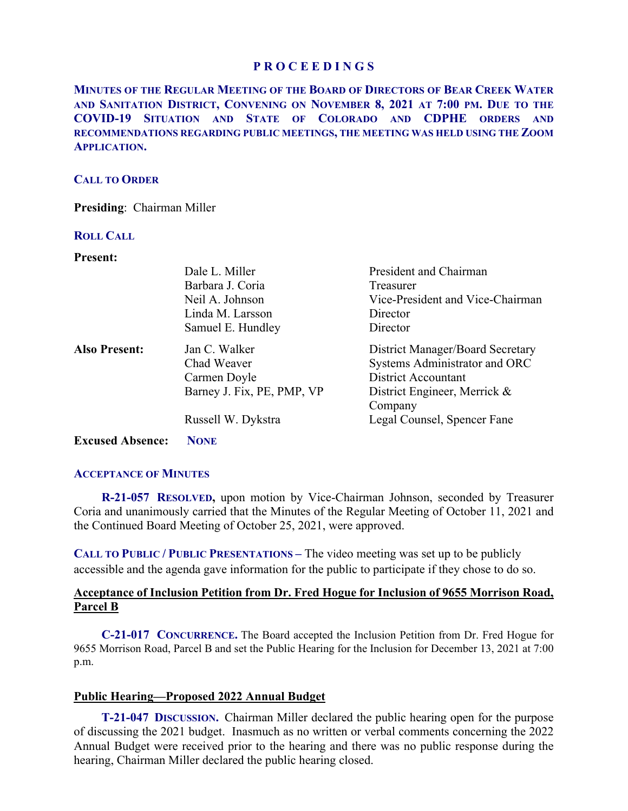**MINUTES OF THE REGULAR MEETING OF THE BOARD OF DIRECTORS OF BEAR CREEK WATER AND SANITATION DISTRICT, CONVENING ON NOVEMBER 8, 2021 AT 7:00 PM. DUE TO THE COVID-19 SITUATION AND STATE OF COLORADO AND CDPHE ORDERS AND RECOMMENDATIONS REGARDING PUBLIC MEETINGS, THE MEETING WAS HELD USING THE ZOOM APPLICATION.**

# **CALL TO ORDER**

**Presiding**: Chairman Miller

## **ROLL CALL**

**Present:** 

| і госпі.             |                            |                                  |
|----------------------|----------------------------|----------------------------------|
|                      | Dale L. Miller             | President and Chairman           |
|                      | Barbara J. Coria           | Treasurer                        |
|                      | Neil A. Johnson            | Vice-President and Vice-Chairman |
|                      | Linda M. Larsson           | Director                         |
|                      | Samuel E. Hundley          | Director                         |
| <b>Also Present:</b> | Jan C. Walker              | District Manager/Board Secretary |
|                      | Chad Weaver                | Systems Administrator and ORC    |
|                      | Carmen Doyle               | <b>District Accountant</b>       |
|                      | Barney J. Fix, PE, PMP, VP | District Engineer, Merrick &     |
|                      |                            | Company                          |
|                      | Russell W. Dykstra         | Legal Counsel, Spencer Fane      |
|                      |                            |                                  |

**Excused Absence: NONE**

## **ACCEPTANCE OF MINUTES**

 **R-21-057 RESOLVED,** upon motion by Vice-Chairman Johnson, seconded by Treasurer Coria and unanimously carried that the Minutes of the Regular Meeting of October 11, 2021 and the Continued Board Meeting of October 25, 2021, were approved.

**CALL TO PUBLIC / PUBLIC PRESENTATIONS –** The video meeting was set up to be publicly accessible and the agenda gave information for the public to participate if they chose to do so.

# **Acceptance of Inclusion Petition from Dr. Fred Hogue for Inclusion of 9655 Morrison Road, Parcel B**

 **C-21-017 CONCURRENCE.** The Board accepted the Inclusion Petition from Dr. Fred Hogue for 9655 Morrison Road, Parcel B and set the Public Hearing for the Inclusion for December 13, 2021 at 7:00 p.m.

## **Public Hearing—Proposed 2022 Annual Budget**

 **T-21-047 DISCUSSION.** Chairman Miller declared the public hearing open for the purpose of discussing the 2021 budget. Inasmuch as no written or verbal comments concerning the 2022 Annual Budget were received prior to the hearing and there was no public response during the hearing, Chairman Miller declared the public hearing closed.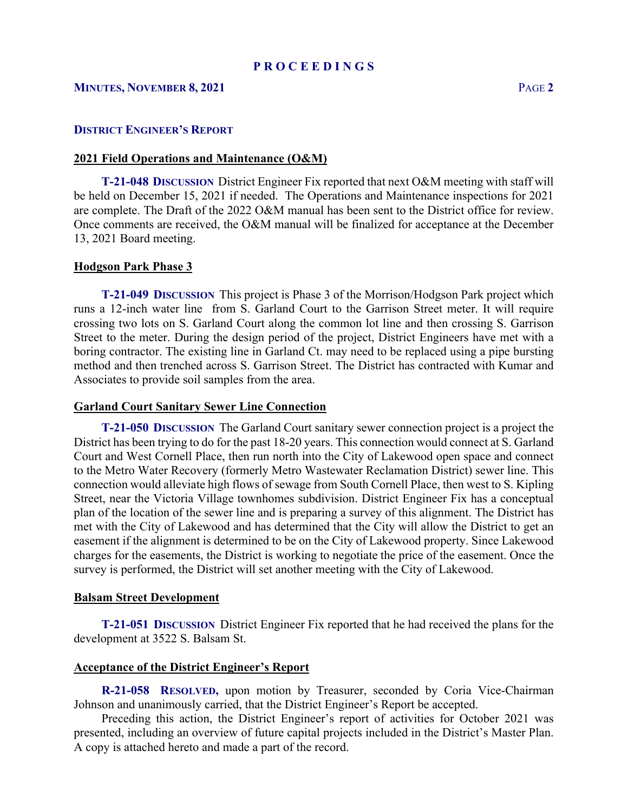# **MINUTES, NOVEMBER 8, 2021** PAGE **2**

## **DISTRICT ENGINEER'S REPORT**

## **2021 Field Operations and Maintenance (O&M)**

 **T-21-048 DISCUSSION** District Engineer Fix reported that next O&M meeting with staff will be held on December 15, 2021 if needed. The Operations and Maintenance inspections for 2021 are complete. The Draft of the 2022 O&M manual has been sent to the District office for review. Once comments are received, the O&M manual will be finalized for acceptance at the December 13, 2021 Board meeting.

## **Hodgson Park Phase 3**

 **T-21-049 DISCUSSION** This project is Phase 3 of the Morrison/Hodgson Park project which runs a 12-inch water line from S. Garland Court to the Garrison Street meter. It will require crossing two lots on S. Garland Court along the common lot line and then crossing S. Garrison Street to the meter. During the design period of the project, District Engineers have met with a boring contractor. The existing line in Garland Ct. may need to be replaced using a pipe bursting method and then trenched across S. Garrison Street. The District has contracted with Kumar and Associates to provide soil samples from the area.

### **Garland Court Sanitary Sewer Line Connection**

 **T-21-050 DISCUSSION** The Garland Court sanitary sewer connection project is a project the District has been trying to do for the past 18-20 years. This connection would connect at S. Garland Court and West Cornell Place, then run north into the City of Lakewood open space and connect to the Metro Water Recovery (formerly Metro Wastewater Reclamation District) sewer line. This connection would alleviate high flows of sewage from South Cornell Place, then west to S. Kipling Street, near the Victoria Village townhomes subdivision. District Engineer Fix has a conceptual plan of the location of the sewer line and is preparing a survey of this alignment. The District has met with the City of Lakewood and has determined that the City will allow the District to get an easement if the alignment is determined to be on the City of Lakewood property. Since Lakewood charges for the easements, the District is working to negotiate the price of the easement. Once the survey is performed, the District will set another meeting with the City of Lakewood.

### **Balsam Street Development**

 **T-21-051 DISCUSSION** District Engineer Fix reported that he had received the plans for the development at 3522 S. Balsam St.

## **Acceptance of the District Engineer's Report**

**R-21-058 RESOLVED,** upon motion by Treasurer, seconded by Coria Vice-Chairman Johnson and unanimously carried, that the District Engineer's Report be accepted.

 Preceding this action, the District Engineer's report of activities for October 2021 was presented, including an overview of future capital projects included in the District's Master Plan. A copy is attached hereto and made a part of the record.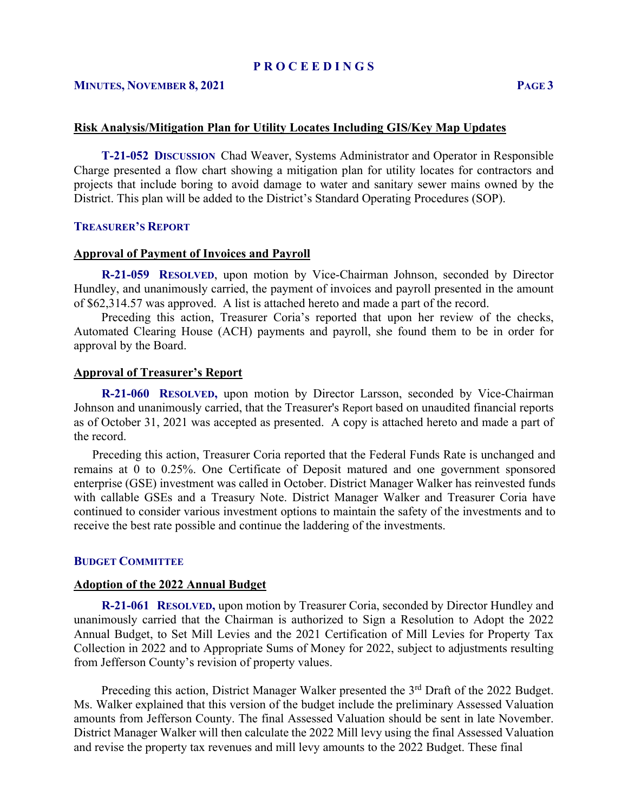## **MINUTES, NOVEMBER 8, 2021 PAGE 3**

### **Risk Analysis/Mitigation Plan for Utility Locates Including GIS/Key Map Updates**

 **T-21-052 DISCUSSION** Chad Weaver, Systems Administrator and Operator in Responsible Charge presented a flow chart showing a mitigation plan for utility locates for contractors and projects that include boring to avoid damage to water and sanitary sewer mains owned by the District. This plan will be added to the District's Standard Operating Procedures (SOP).

### **TREASURER'S REPORT**

### **Approval of Payment of Invoices and Payroll**

 **R-21-059 RESOLVED**, upon motion by Vice-Chairman Johnson, seconded by Director Hundley, and unanimously carried, the payment of invoices and payroll presented in the amount of \$62,314.57 was approved. A list is attached hereto and made a part of the record.

 Preceding this action, Treasurer Coria's reported that upon her review of the checks, Automated Clearing House (ACH) payments and payroll, she found them to be in order for approval by the Board.

#### **Approval of Treasurer's Report**

 **R-21-060 RESOLVED,** upon motion by Director Larsson, seconded by Vice-Chairman Johnson and unanimously carried, that the Treasurer's Report based on unaudited financial reports as of October 31, 2021 was accepted as presented. A copy is attached hereto and made a part of the record.

 Preceding this action, Treasurer Coria reported that the Federal Funds Rate is unchanged and remains at 0 to 0.25%. One Certificate of Deposit matured and one government sponsored enterprise (GSE) investment was called in October. District Manager Walker has reinvested funds with callable GSEs and a Treasury Note. District Manager Walker and Treasurer Coria have continued to consider various investment options to maintain the safety of the investments and to receive the best rate possible and continue the laddering of the investments.

## **BUDGET COMMITTEE**

#### **Adoption of the 2022 Annual Budget**

 **R-21-061 RESOLVED,** upon motion by Treasurer Coria, seconded by Director Hundley and unanimously carried that the Chairman is authorized to Sign a Resolution to Adopt the 2022 Annual Budget, to Set Mill Levies and the 2021 Certification of Mill Levies for Property Tax Collection in 2022 and to Appropriate Sums of Money for 2022, subject to adjustments resulting from Jefferson County's revision of property values.

Preceding this action, District Manager Walker presented the 3<sup>rd</sup> Draft of the 2022 Budget. Ms. Walker explained that this version of the budget include the preliminary Assessed Valuation amounts from Jefferson County. The final Assessed Valuation should be sent in late November. District Manager Walker will then calculate the 2022 Mill levy using the final Assessed Valuation and revise the property tax revenues and mill levy amounts to the 2022 Budget. These final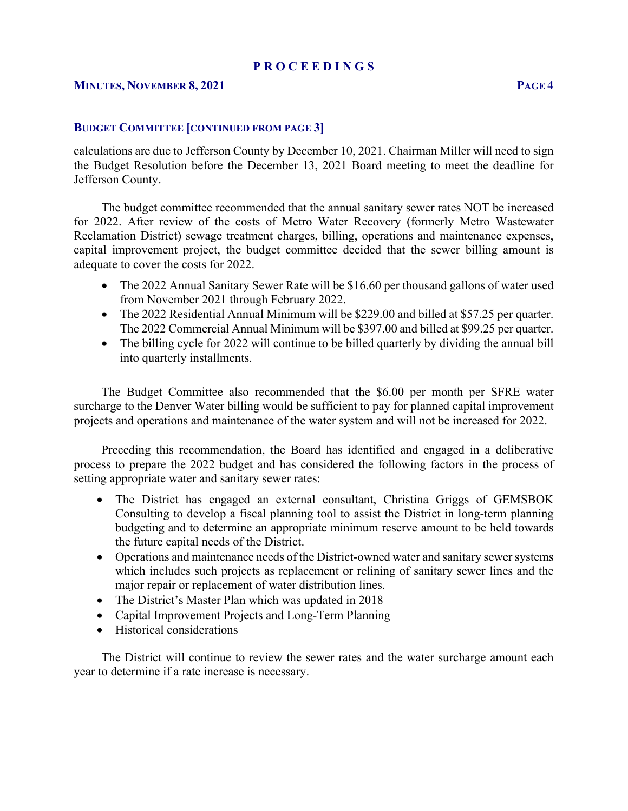calculations are due to Jefferson County by December 10, 2021. Chairman Miller will need to sign the Budget Resolution before the December 13, 2021 Board meeting to meet the deadline for Jefferson County.

 The budget committee recommended that the annual sanitary sewer rates NOT be increased for 2022. After review of the costs of Metro Water Recovery (formerly Metro Wastewater Reclamation District) sewage treatment charges, billing, operations and maintenance expenses, capital improvement project, the budget committee decided that the sewer billing amount is adequate to cover the costs for 2022.

- The 2022 Annual Sanitary Sewer Rate will be \$16.60 per thousand gallons of water used from November 2021 through February 2022.
- The 2022 Residential Annual Minimum will be \$229.00 and billed at \$57.25 per quarter. The 2022 Commercial Annual Minimum will be \$397.00 and billed at \$99.25 per quarter.
- The billing cycle for 2022 will continue to be billed quarterly by dividing the annual bill into quarterly installments.

 The Budget Committee also recommended that the \$6.00 per month per SFRE water surcharge to the Denver Water billing would be sufficient to pay for planned capital improvement projects and operations and maintenance of the water system and will not be increased for 2022.

 Preceding this recommendation, the Board has identified and engaged in a deliberative process to prepare the 2022 budget and has considered the following factors in the process of setting appropriate water and sanitary sewer rates:

- The District has engaged an external consultant, Christina Griggs of GEMSBOK Consulting to develop a fiscal planning tool to assist the District in long-term planning budgeting and to determine an appropriate minimum reserve amount to be held towards the future capital needs of the District.
- Operations and maintenance needs of the District-owned water and sanitary sewer systems which includes such projects as replacement or relining of sanitary sewer lines and the major repair or replacement of water distribution lines.
- The District's Master Plan which was updated in 2018
- Capital Improvement Projects and Long-Term Planning
- Historical considerations

 The District will continue to review the sewer rates and the water surcharge amount each year to determine if a rate increase is necessary.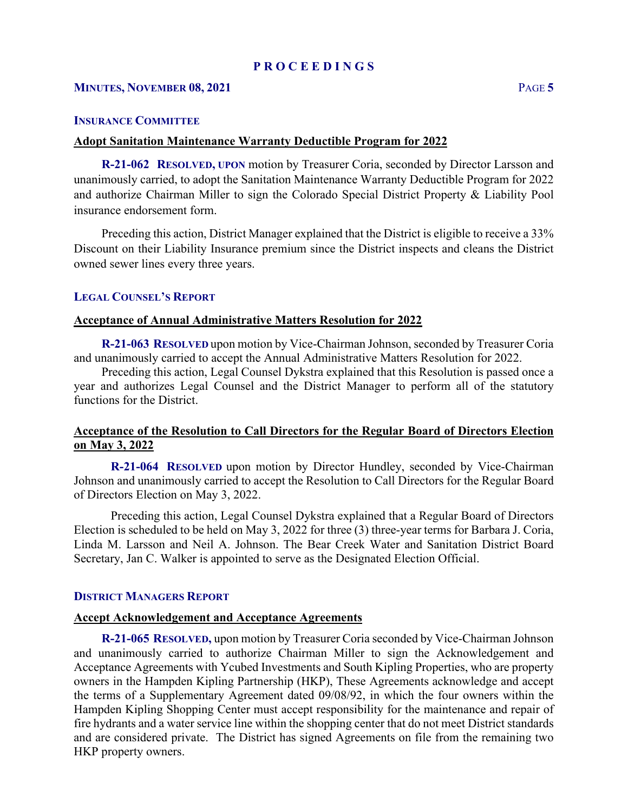## **INSURANCE COMMITTEE**

### **Adopt Sanitation Maintenance Warranty Deductible Program for 2022**

 **R-21-062 RESOLVED, UPON** motion by Treasurer Coria, seconded by Director Larsson and unanimously carried, to adopt the Sanitation Maintenance Warranty Deductible Program for 2022 and authorize Chairman Miller to sign the Colorado Special District Property & Liability Pool insurance endorsement form.

 Preceding this action, District Manager explained that the District is eligible to receive a 33% Discount on their Liability Insurance premium since the District inspects and cleans the District owned sewer lines every three years.

### **LEGAL COUNSEL'S REPORT**

### **Acceptance of Annual Administrative Matters Resolution for 2022**

 **R-21-063 RESOLVED** upon motion by Vice-Chairman Johnson, seconded by Treasurer Coria and unanimously carried to accept the Annual Administrative Matters Resolution for 2022.

 Preceding this action, Legal Counsel Dykstra explained that this Resolution is passed once a year and authorizes Legal Counsel and the District Manager to perform all of the statutory functions for the District.

# **Acceptance of the Resolution to Call Directors for the Regular Board of Directors Election on May 3, 2022**

**R-21-064 RESOLVED** upon motion by Director Hundley, seconded by Vice-Chairman Johnson and unanimously carried to accept the Resolution to Call Directors for the Regular Board of Directors Election on May 3, 2022.

Preceding this action, Legal Counsel Dykstra explained that a Regular Board of Directors Election is scheduled to be held on May 3, 2022 for three (3) three-year terms for Barbara J. Coria, Linda M. Larsson and Neil A. Johnson. The Bear Creek Water and Sanitation District Board Secretary, Jan C. Walker is appointed to serve as the Designated Election Official.

### **DISTRICT MANAGERS REPORT**

## **Accept Acknowledgement and Acceptance Agreements**

 **R-21-065 RESOLVED,** upon motion by Treasurer Coria seconded by Vice-Chairman Johnson and unanimously carried to authorize Chairman Miller to sign the Acknowledgement and Acceptance Agreements with Ycubed Investments and South Kipling Properties, who are property owners in the Hampden Kipling Partnership (HKP), These Agreements acknowledge and accept the terms of a Supplementary Agreement dated 09/08/92, in which the four owners within the Hampden Kipling Shopping Center must accept responsibility for the maintenance and repair of fire hydrants and a water service line within the shopping center that do not meet District standards and are considered private. The District has signed Agreements on file from the remaining two HKP property owners.